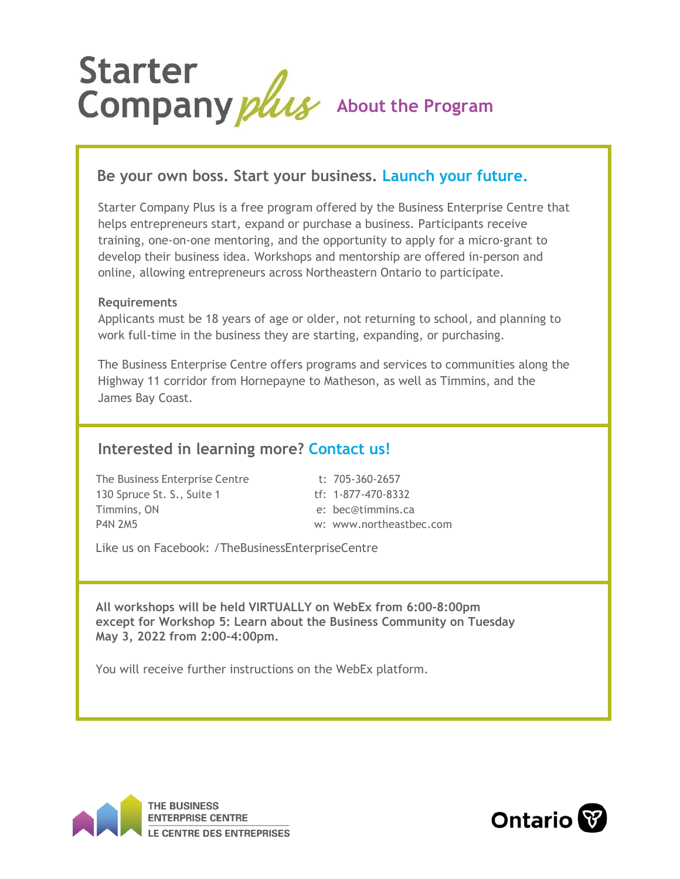

## **Be your own boss. Start your business. Launch your future.**

Starter Company Plus is a free program offered by the Business Enterprise Centre that helps entrepreneurs start, expand or purchase a business. Participants receive training, one-on-one mentoring, and the opportunity to apply for a micro-grant to develop their business idea. Workshops and mentorship are offered in-person and online, allowing entrepreneurs across Northeastern Ontario to participate.

### **Requirements**

Applicants must be 18 years of age or older, not returning to school, and planning to work full-time in the business they are starting, expanding, or purchasing.

The Business Enterprise Centre offers programs and services to communities along the Highway 11 corridor from Hornepayne to Matheson, as well as Timmins, and the James Bay Coast.

## **Interested in learning more? Contact us!**

The Business Enterprise Centre t: 705-360-2657 130 Spruce St. S., Suite 1 tf: 1-877-470-8332 Timmins, ON e: [bec@timmins.ca](mailto:bec@timmins.ca) P4N 2M5 w: [www.northeastbec.com](http://www.northeastbec.com/)

Like us on Facebook: /TheBusinessEnterpriseCentre

**All workshops will be held VIRTUALLY on WebEx from 6:00-8:00pm except for Workshop 5: Learn about the Business Community on Tuesday May 3, 2022 from 2:00-4:00pm.**

You will receive further instructions on the WebEx platform.